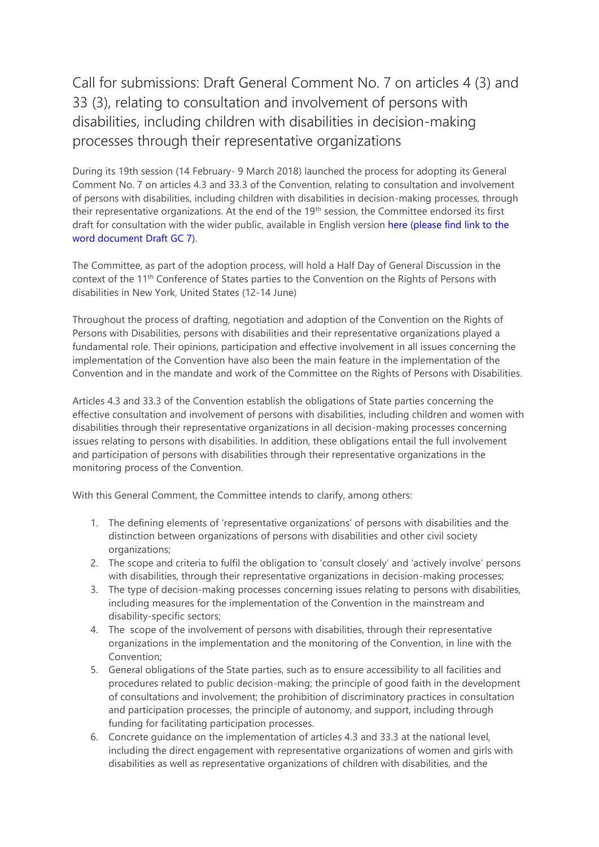Call for submissions: Draft General Comment No. 7 on articles 4 (3) and 33 (3), relating to consultation and involvement of persons with disabilities, including children with disabilities in decision-making processes through their representative organizations

During its 19th session (14 February- 9 March 2018) launched the process for adopting its General Comment No. 7 on articles 4.3 and 33.3 of the Convention, relating to consultation and involvement of persons with disabilities, including children with disabilities in decision-making processes, through their representative organizations. At the end of the 19th session, the Committee endorsed its first draft for consultation with the wider public, available in English version here (please find link to the word document Draft GC 7).

The Committee, as part of the adoption process, will hold a Half Day of General Discussion in the context of the 11<sup>th</sup> Conference of States parties to the Convention on the Rights of Persons with disabilities in New York, United States (12-14 June)

Throughout the process of drafting, negotiation and adoption of the Convention on the Rights of Persons with Disabilities, persons with disabilities and their representative organizations played a fundamental role. Their opinions, participation and effective involvement in all issues concerning the implementation of the Convention have also been the main feature in the implementation of the Convention and in the mandate and work of the Committee on the Rights of Persons with Disabilities.

Articles 4.3 and 33.3 of the Convention establish the obligations of State parties concerning the effective consultation and involvement of persons with disabilities, including children and women with disabilities through their representative organizations in all decision-making processes concerning issues relating to persons with disabilities. In addition, these obligations entail the full involvement and participation of persons with disabilities through their representative organizations in the monitoring process of the Convention.

With this General Comment, the Committee intends to clarify, among others:

- 1. The defining elements of 'representative organizations' of persons with disabilities and the distinction between organizations of persons with disabilities and other civil society organizations;
- 2. The scope and criteria to fulfil the obligation to 'consult closely' and 'actively involve' persons with disabilities, through their representative organizations in decision-making processes;
- 3. The type of decision-making processes concerning issues relating to persons with disabilities, including measures for the implementation of the Convention in the mainstream and disability-specific sectors;
- 4. The scope of the involvement of persons with disabilities, through their representative organizations in the implementation and the monitoring of the Convention, in line with the Convention;
- 5. General obligations of the State parties, such as to ensure accessibility to all facilities and procedures related to public decision-making; the principle of good faith in the development of consultations and involvement; the prohibition of discriminatory practices in consultation and participation processes, the principle of autonomy, and support, including through funding for facilitating participation processes.
- 6. Concrete guidance on the implementation of articles 4.3 and 33.3 at the national level, including the direct engagement with representative organizations of women and girls with disabilities as well as representative organizations of children with disabilities, and the